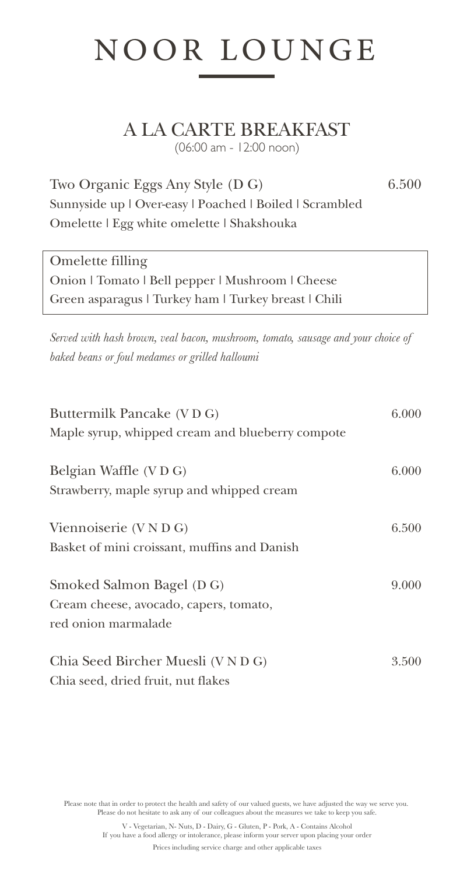# NOOR LOUNGE

A LA CARTE BREAKFAST

(06:00 am - 12:00 noon)

Two Organic Eggs Any Style (D G) 6.500 Sunnyside up | Over-easy | Poached | Boiled | Scrambled Omelette | Egg white omelette | Shakshouka

Omelette filling Onion | Tomato | Bell pepper | Mushroom | Cheese Green asparagus | Turkey ham | Turkey breast | Chili

*Served with hash brown, veal bacon, mushroom, tomato, sausage and your choice of baked beans or foul medames or grilled halloumi*

| Buttermilk Pancake (VDG)<br>Maple syrup, whipped cream and blueberry compote               | 6.000 |
|--------------------------------------------------------------------------------------------|-------|
| Belgian Waffle (VDG)<br>Strawberry, maple syrup and whipped cream                          | 6.000 |
| Viennoiserie (V N D G)<br>Basket of mini croissant, muffins and Danish                     | 6.500 |
| Smoked Salmon Bagel (D G)<br>Cream cheese, avocado, capers, tomato,<br>red onion marmalade | 9.000 |
| Chia Seed Bircher Muesli (V N D G)<br>Chia seed, dried fruit, nut flakes                   | 3.500 |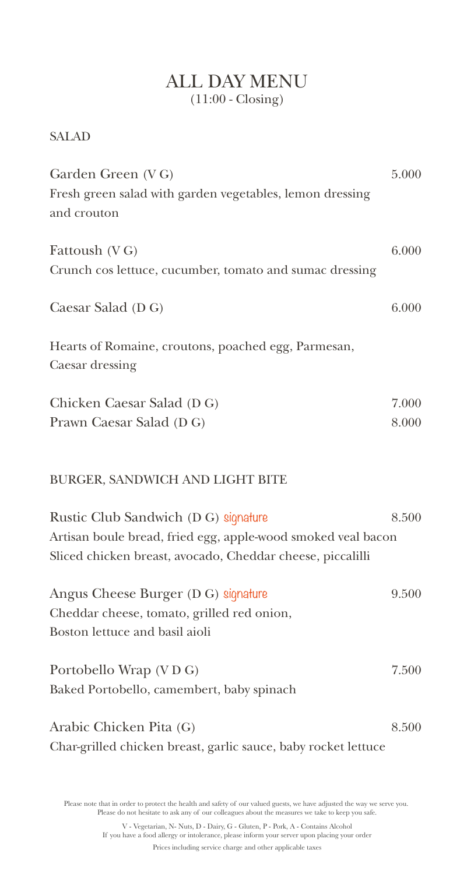### ALL DAY MENU (11:00 - Closing)

#### SALAD

| Garden Green (VG)                                                                                                          | 5.000 |
|----------------------------------------------------------------------------------------------------------------------------|-------|
| Fresh green salad with garden vegetables, lemon dressing<br>and crouton                                                    |       |
|                                                                                                                            |       |
| Fattoush (VG)                                                                                                              | 6.000 |
| Crunch cos lettuce, cucumber, tomato and sumac dressing                                                                    |       |
| Caesar Salad (D G)                                                                                                         | 6.000 |
| Hearts of Romaine, croutons, poached egg, Parmesan,<br>Caesar dressing                                                     |       |
| Chicken Caesar Salad (D G)                                                                                                 | 7.000 |
| Prawn Caesar Salad (D G)                                                                                                   | 8.000 |
| BURGER, SANDWICH AND LIGHT BITE                                                                                            |       |
| Rustic Club Sandwich (D G) signature                                                                                       | 8.500 |
| Artisan boule bread, fried egg, apple-wood smoked veal bacon<br>Sliced chicken breast, avocado, Cheddar cheese, piccalilli |       |
| Angus Cheese Burger (D G) signature                                                                                        | 9.500 |
| Cheddar cheese, tomato, grilled red onion,                                                                                 |       |
| Boston lettuce and basil aioli                                                                                             |       |
| Portobello Wrap (VDG)                                                                                                      | 7.500 |
| Baked Portobello, camembert, baby spinach                                                                                  |       |
| Arabic Chicken Pita (G)                                                                                                    | 8.500 |
| Char-grilled chicken breast, garlic sauce, baby rocket lettuce                                                             |       |

Please note that in order to protect the health and safety of our valued guests, we have adjusted the way we serve you. Please do not hesitate to ask any of our colleagues about the measures we take to keep you safe.

V - Vegetarian, N- Nuts, D - Dairy, G - Gluten, P - Pork, A - Contains Alcohol If you have a food allergy or intolerance, please inform your server upon placing your order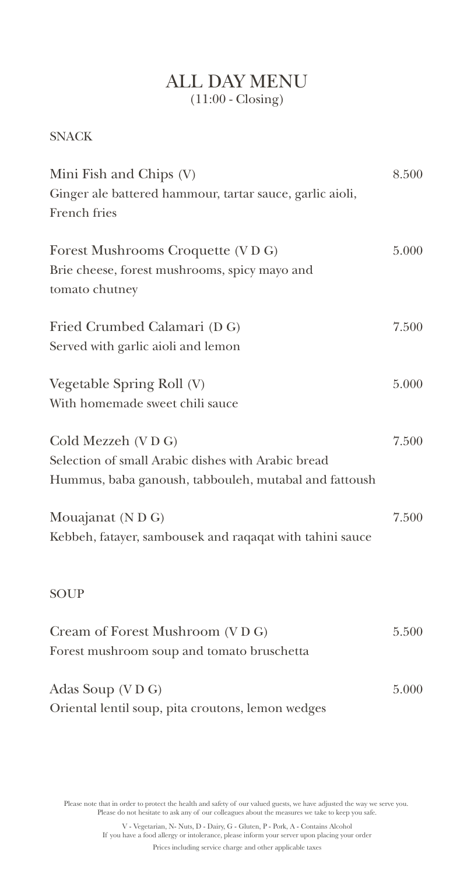### ALL DAY MENU (11:00 - Closing)

#### **SNACK**

| Mini Fish and Chips (V)                                  | 8.500 |
|----------------------------------------------------------|-------|
| Ginger ale battered hammour, tartar sauce, garlic aioli, |       |
| French fries                                             |       |
|                                                          |       |
| Forest Mushrooms Croquette (VDG)                         | 5.000 |
| Brie cheese, forest mushrooms, spicy mayo and            |       |
| tomato chutney                                           |       |
| Fried Crumbed Calamari (D G)                             | 7.500 |
| Served with garlic aioli and lemon                       |       |
|                                                          |       |
| Vegetable Spring Roll (V)                                | 5.000 |
| With homemade sweet chili sauce                          |       |
| Cold Mezzeh (VDG)                                        | 7.500 |
| Selection of small Arabic dishes with Arabic bread       |       |
| Hummus, baba ganoush, tabbouleh, mutabal and fattoush    |       |
| Mouajanat (N D G)                                        | 7.500 |
| Kebbeh, fatayer, sambousek and raqaqat with tahini sauce |       |
|                                                          |       |
| <b>SOUP</b>                                              |       |
| Cream of Forest Mushroom (VDG)                           | 5.500 |
| Forest mushroom soup and tomato bruschetta               |       |
| Adas Soup (VDG)                                          | 5.000 |
| Oriental lentil soup, pita croutons, lemon wedges        |       |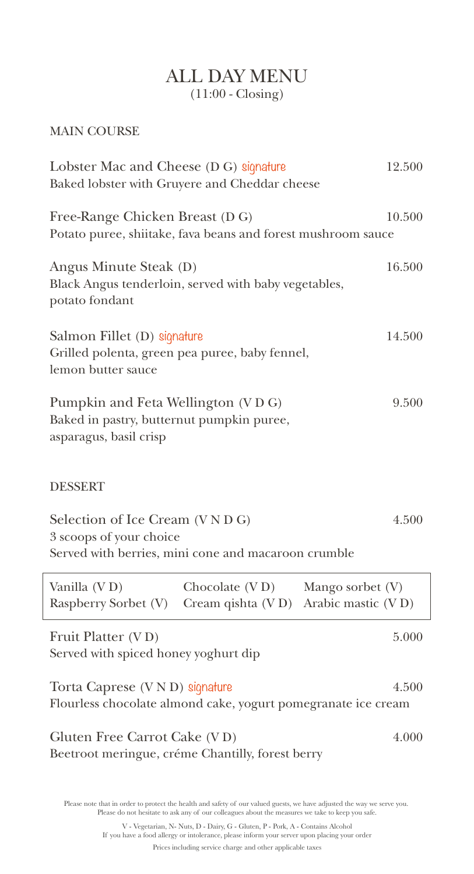## ALL DAY MENU (11:00 - Closing)

#### MAIN COURSE

| Lobster Mac and Cheese (D G) signature<br>Baked lobster with Gruyere and Cheddar cheese                         |                                       | 12.500                                 |
|-----------------------------------------------------------------------------------------------------------------|---------------------------------------|----------------------------------------|
| Free-Range Chicken Breast (D G)<br>Potato puree, shiitake, fava beans and forest mushroom sauce                 |                                       | 10.500                                 |
| Angus Minute Steak (D)<br>Black Angus tenderloin, served with baby vegetables,<br>potato fondant                |                                       | 16.500                                 |
| Salmon Fillet (D) signature<br>Grilled polenta, green pea puree, baby fennel,<br>lemon butter sauce             |                                       | 14.500                                 |
| Pumpkin and Feta Wellington (VDG)<br>Baked in pastry, butternut pumpkin puree,<br>asparagus, basil crisp        |                                       | 9.500                                  |
| <b>DESSERT</b>                                                                                                  |                                       |                                        |
| Selection of Ice Cream (VNDG)<br>3 scoops of your choice<br>Served with berries, mini cone and macaroon crumble |                                       | 4.500                                  |
| Vanilla (VD)<br>Raspberry Sorbet (V)                                                                            | Chocolate (VD)<br>Cream qishta $(VD)$ | Mango sorbet (V)<br>Arabic mastic (VD) |
| Fruit Platter (VD)<br>Served with spiced honey yoghurt dip                                                      |                                       | 5.000                                  |
| Torta Caprese (V N D) signature<br>Flourless chocolate almond cake, yogurt pomegranate ice cream                |                                       | 4.500                                  |
| Gluten Free Carrot Cake (VD)<br>Beetroot meringue, créme Chantilly, forest berry                                |                                       | 4.000                                  |

Please note that in order to protect the health and safety of our valued guests, we have adjusted the way we serve you. Please do not hesitate to ask any of our colleagues about the measures we take to keep you safe.

V - Vegetarian, N- Nuts, D - Dairy, G - Gluten, P - Pork, A - Contains Alcohol If you have a food allergy or intolerance, please inform your server upon placing your order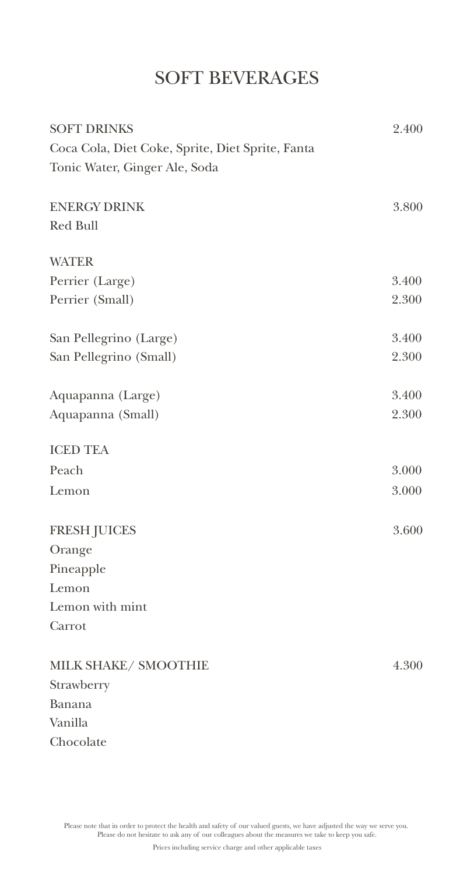# SOFT BEVERAGES

| <b>SOFT DRINKS</b>                               | 2.400 |
|--------------------------------------------------|-------|
| Coca Cola, Diet Coke, Sprite, Diet Sprite, Fanta |       |
| Tonic Water, Ginger Ale, Soda                    |       |
| <b>ENERGY DRINK</b>                              | 3.800 |
| Red Bull                                         |       |
| <b>WATER</b>                                     |       |
| Perrier (Large)                                  | 3.400 |
| Perrier (Small)                                  | 2.300 |
| San Pellegrino (Large)                           | 3.400 |
| San Pellegrino (Small)                           | 2.300 |
| Aquapanna (Large)                                | 3.400 |
| Aquapanna (Small)                                | 2.300 |
| <b>ICED TEA</b>                                  |       |
| Peach                                            | 3.000 |
| Lemon                                            | 3.000 |
| <b>FRESH JUICES</b>                              | 3.600 |
| Orange                                           |       |
| Pineapple                                        |       |
| Lemon                                            |       |
| Lemon with mint                                  |       |
| Carrot                                           |       |
| MILK SHAKE/ SMOOTHIE                             | 4.300 |
| Strawberry                                       |       |
| Banana                                           |       |
| Vanilla                                          |       |
| Chocolate                                        |       |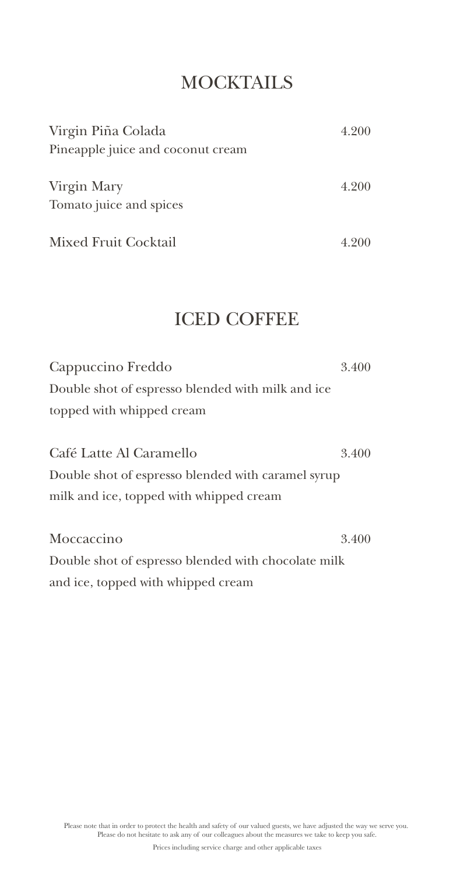## **MOCKTAILS**

| Virgin Piña Colada                     | 4.200 |
|----------------------------------------|-------|
| Pineapple juice and coconut cream      |       |
| Virgin Mary<br>Tomato juice and spices | 4.200 |
| Mixed Fruit Cocktail                   | 4.200 |

## ICED COFFEE

Cappuccino Freddo 3.400 Double shot of espresso blended with milk and ice topped with whipped cream

Café Latte Al Caramello 3.400 Double shot of espresso blended with caramel syrup milk and ice, topped with whipped cream

Moccaccino 3.400 Double shot of espresso blended with chocolate milk and ice, topped with whipped cream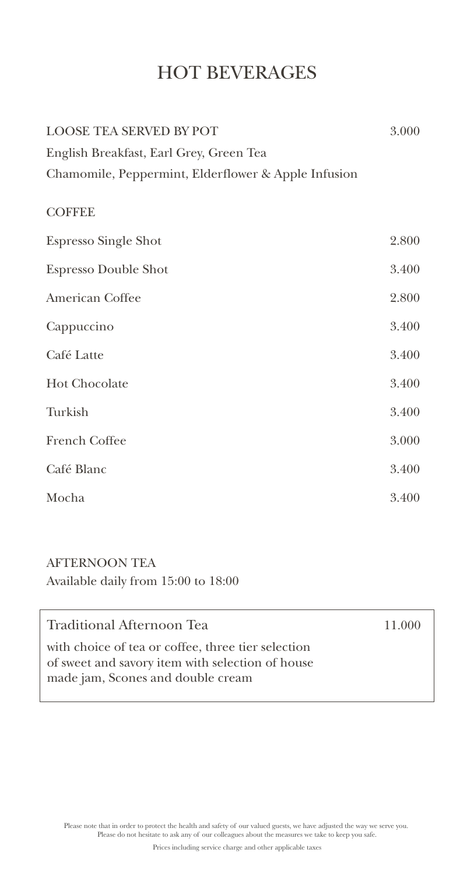# HOT BEVERAGES

| <b>LOOSE TEA SERVED BY POT</b>                      | 3.000 |
|-----------------------------------------------------|-------|
| English Breakfast, Earl Grey, Green Tea             |       |
| Chamomile, Peppermint, Elderflower & Apple Infusion |       |
| <b>COFFEE</b>                                       |       |
| <b>Espresso Single Shot</b>                         | 2.800 |
| <b>Espresso Double Shot</b>                         | 3.400 |
| American Coffee                                     | 2.800 |
| Cappuccino                                          | 3.400 |
| Café Latte                                          | 3.400 |
| <b>Hot Chocolate</b>                                | 3.400 |
| Turkish                                             | 3.400 |
| French Coffee                                       | 3.000 |
| Café Blanc                                          | 3.400 |
| Mocha                                               | 3.400 |

### AFTERNOON TEA

Available daily from 15:00 to 18:00

| Traditional Afternoon Tea                                                                                                                   | 11.000 |
|---------------------------------------------------------------------------------------------------------------------------------------------|--------|
| with choice of tea or coffee, three tier selection<br>of sweet and savory item with selection of house<br>made jam, Scones and double cream |        |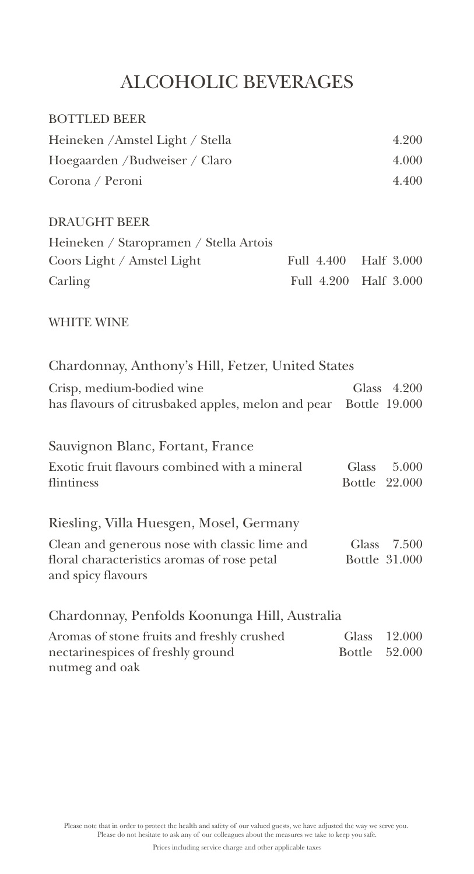# ALCOHOLIC BEVERAGES

| <b>BOTTLED BEER</b>                                                                                                |            |                               |                        |
|--------------------------------------------------------------------------------------------------------------------|------------|-------------------------------|------------------------|
| Heineken / Amstel Light / Stella                                                                                   |            |                               | 4.200                  |
| Hoegaarden / Budweiser / Claro                                                                                     |            |                               | 4.000                  |
| Corona / Peroni                                                                                                    |            |                               | 4.400                  |
| <b>DRAUGHT BEER</b>                                                                                                |            |                               |                        |
| Heineken / Staropramen / Stella Artois                                                                             |            |                               |                        |
| Coors Light / Amstel Light                                                                                         | Full 4.400 |                               | Half 3.000             |
| Carling                                                                                                            | Full 4.200 |                               | Half 3.000             |
| <b>WHITE WINE</b>                                                                                                  |            |                               |                        |
| Chardonnay, Anthony's Hill, Fetzer, United States                                                                  |            |                               |                        |
| Crisp, medium-bodied wine<br>has flavours of citrusbaked apples, melon and pear Bottle 19.000                      |            | Glass                         | 4.200                  |
| Sauvignon Blanc, Fortant, France                                                                                   |            |                               |                        |
| Exotic fruit flavours combined with a mineral<br>flintiness                                                        |            | Glass                         | 5.000<br>Bottle 22.000 |
| Riesling, Villa Huesgen, Mosel, Germany                                                                            |            |                               |                        |
| Clean and generous nose with classic lime and<br>floral characteristics aromas of rose petal<br>and spicy flavours |            | Glass                         | 7.500<br>Bottle 31.000 |
| Chardonnay, Penfolds Koonunga Hill, Australia                                                                      |            |                               |                        |
| Aromas of stone fruits and freshly crushed<br>nectarinespices of freshly ground                                    |            | <b>Glass</b><br><b>Bottle</b> | 12.000<br>52.000       |

Please note that in order to protect the health and safety of our valued guests, we have adjusted the way we serve you. Please do not hesitate to ask any of our colleagues about the measures we take to keep you safe.

nutmeg and oak